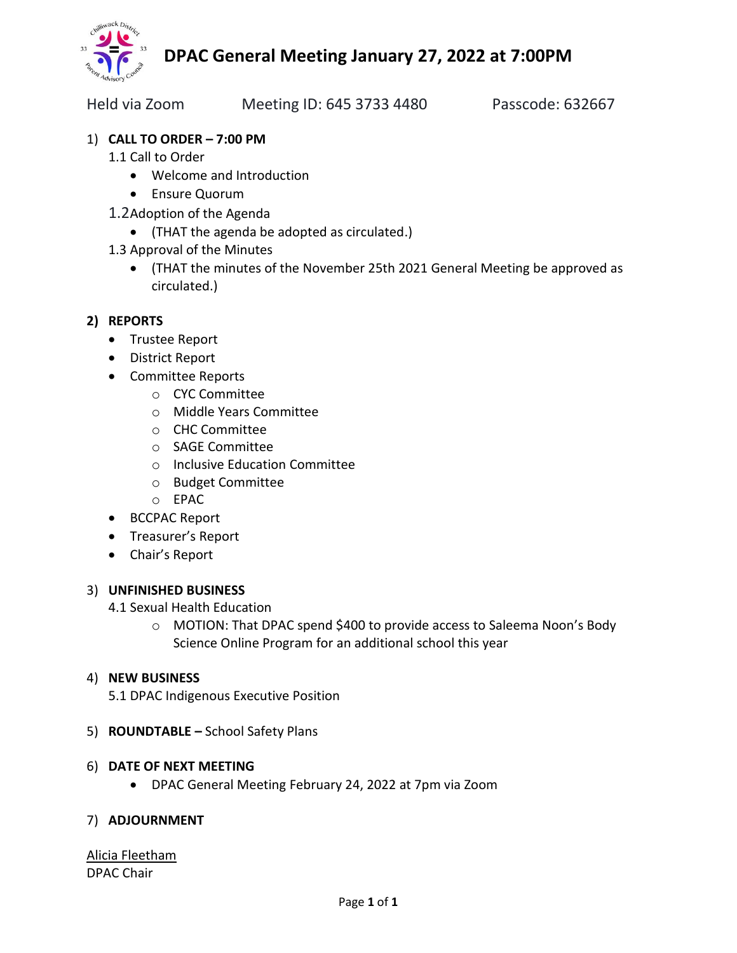

Held via Zoom Meeting ID: 645 3733 4480 Passcode: 632667

## 1) **CALL TO ORDER – 7:00 PM**

- 1.1 Call to Order
	- Welcome and Introduction
	- Ensure Quorum
- 1.2Adoption of the Agenda
	- (THAT the agenda be adopted as circulated.)
- 1.3 Approval of the Minutes
	- (THAT the minutes of the November 25th 2021 General Meeting be approved as circulated.)

### **2) REPORTS**

- Trustee Report
- District Report
- Committee Reports
	- o CYC Committee
	- o Middle Years Committee
	- o CHC Committee
	- o SAGE Committee
	- o Inclusive Education Committee
	- o Budget Committee
	- o EPAC
- BCCPAC Report
- Treasurer's Report
- Chair's Report

#### 3) **UNFINISHED BUSINESS**

#### 4.1 Sexual Health Education

o MOTION: That DPAC spend \$400 to provide access to Saleema Noon's Body Science Online Program for an additional school this year

#### 4) **NEW BUSINESS**

- 5.1 DPAC Indigenous Executive Position
- 5) **ROUNDTABLE –** School Safety Plans

#### 6) **DATE OF NEXT MEETING**

• DPAC General Meeting February 24, 2022 at 7pm via Zoom

#### 7) **ADJOURNMENT**

#### Alicia Fleetham DPAC Chair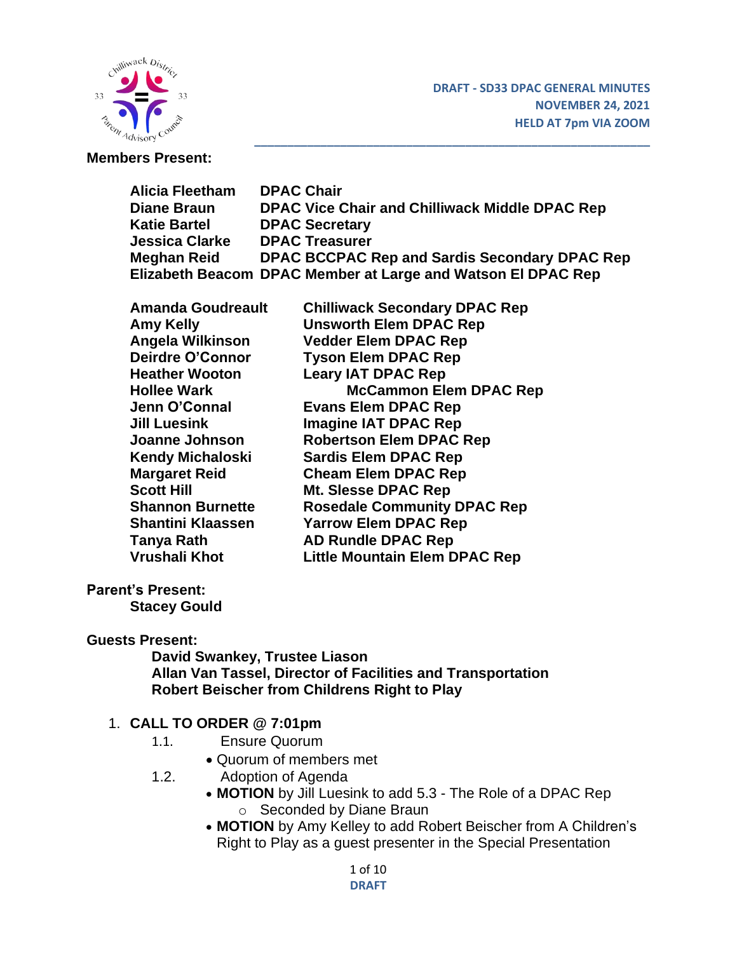

#### **Members Present:**

| Alicia Fleetham     | <b>DPAC Chair</b>                                            |
|---------------------|--------------------------------------------------------------|
| <b>Diane Braun</b>  | DPAC Vice Chair and Chilliwack Middle DPAC Rep               |
| <b>Katie Bartel</b> | <b>DPAC Secretary</b>                                        |
| Jessica Clarke      | <b>DPAC Treasurer</b>                                        |
| Meghan Reid         | DPAC BCCPAC Rep and Sardis Secondary DPAC Rep                |
|                     | Elizabeth Beacom DPAC Member at Large and Watson El DPAC Rep |

**\_\_\_\_\_\_\_\_\_\_\_\_\_\_\_\_\_\_\_\_\_\_\_\_\_\_\_\_\_\_\_\_\_\_\_\_\_\_\_\_\_\_\_\_\_\_\_\_\_\_\_\_\_\_\_\_\_\_\_\_**

| <b>Chilliwack Secondary DPAC Rep</b> |
|--------------------------------------|
| <b>Unsworth Elem DPAC Rep</b>        |
| <b>Vedder Elem DPAC Rep</b>          |
| <b>Tyson Elem DPAC Rep</b>           |
| <b>Leary IAT DPAC Rep</b>            |
| <b>McCammon Elem DPAC Rep</b>        |
| <b>Evans Elem DPAC Rep</b>           |
| <b>Imagine IAT DPAC Rep</b>          |
| <b>Robertson Elem DPAC Rep</b>       |
| <b>Sardis Elem DPAC Rep</b>          |
| <b>Cheam Elem DPAC Rep</b>           |
| Mt. Slesse DPAC Rep                  |
| <b>Rosedale Community DPAC Rep</b>   |
| <b>Yarrow Elem DPAC Rep</b>          |
| <b>AD Rundle DPAC Rep</b>            |
| <b>Little Mountain Elem DPAC Rep</b> |
|                                      |

### **Parent's Present:**

**Stacey Gould**

#### **Guests Present:**

**David Swankey, Trustee Liason Allan Van Tassel, Director of Facilities and Transportation Robert Beischer from Childrens Right to Play**

#### 1. **CALL TO ORDER @ 7:01pm**

- 1.1. Ensure Quorum
	- Quorum of members met
- 1.2. Adoption of Agenda
	- **MOTION** by Jill Luesink to add 5.3 The Role of a DPAC Rep o Seconded by Diane Braun
	- **MOTION** by Amy Kelley to add Robert Beischer from A Children's Right to Play as a guest presenter in the Special Presentation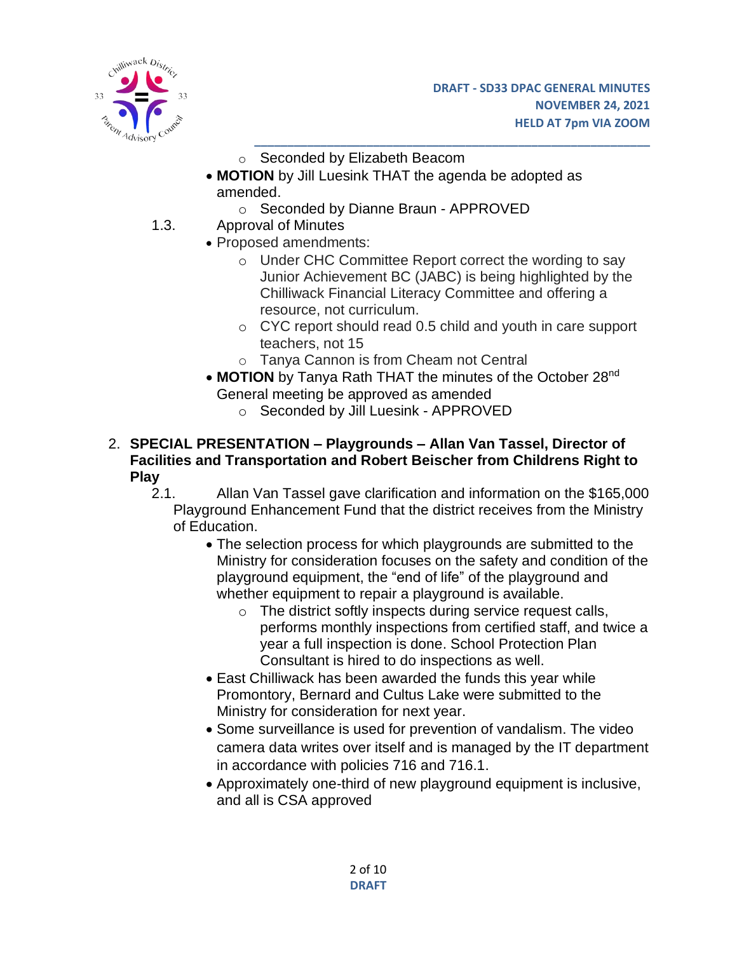

- o Seconded by Elizabeth Beacom
- **MOTION** by Jill Luesink THAT the agenda be adopted as amended.
	- o Seconded by Dianne Braun APPROVED
- 1.3. Approval of Minutes
	- Proposed amendments:
		- o Under CHC Committee Report correct the wording to say Junior Achievement BC (JABC) is being highlighted by the Chilliwack Financial Literacy Committee and offering a resource, not curriculum.

- o CYC report should read 0.5 child and youth in care support teachers, not 15
- o Tanya Cannon is from Cheam not Central
- MOTION by Tanya Rath THAT the minutes of the October 28<sup>nd</sup> General meeting be approved as amended
	- o Seconded by Jill Luesink APPROVED
- 2. **SPECIAL PRESENTATION – Playgrounds – Allan Van Tassel, Director of Facilities and Transportation and Robert Beischer from Childrens Right to Play**
	- 2.1. Allan Van Tassel gave clarification and information on the \$165,000 Playground Enhancement Fund that the district receives from the Ministry of Education.
		- The selection process for which playgrounds are submitted to the Ministry for consideration focuses on the safety and condition of the playground equipment, the "end of life" of the playground and whether equipment to repair a playground is available.
			- o The district softly inspects during service request calls, performs monthly inspections from certified staff, and twice a year a full inspection is done. School Protection Plan Consultant is hired to do inspections as well.
		- East Chilliwack has been awarded the funds this year while Promontory, Bernard and Cultus Lake were submitted to the Ministry for consideration for next year.
		- Some surveillance is used for prevention of vandalism. The video camera data writes over itself and is managed by the IT department in accordance with policies 716 and 716.1.
		- Approximately one-third of new playground equipment is inclusive, and all is CSA approved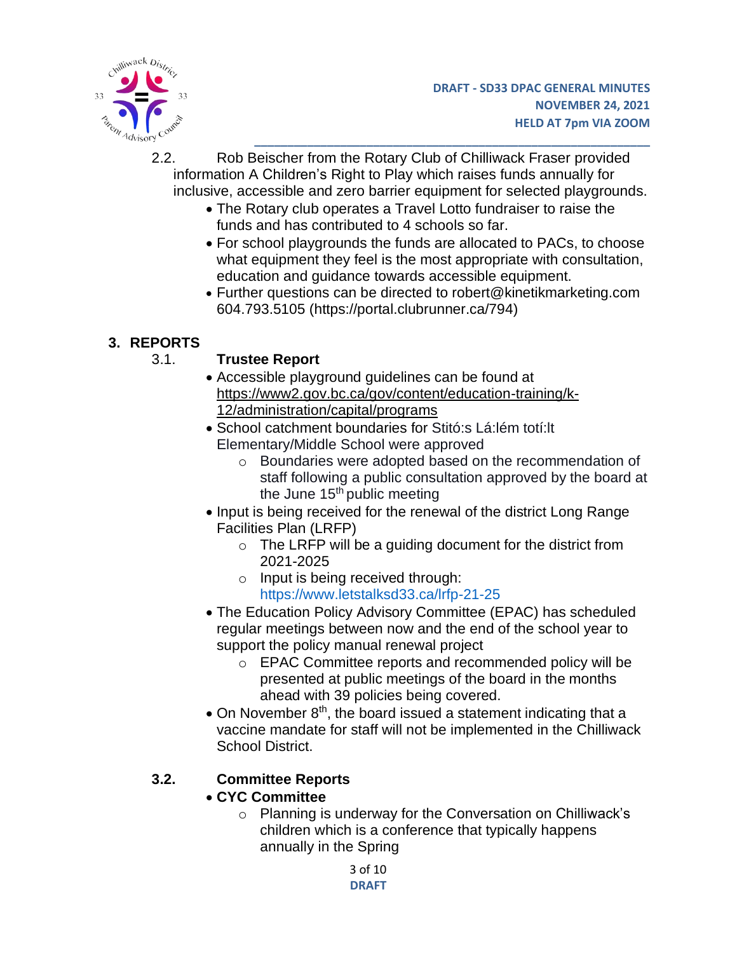

- 2.2. Rob Beischer from the Rotary Club of Chilliwack Fraser provided information A Children's Right to Play which raises funds annually for inclusive, accessible and zero barrier equipment for selected playgrounds.
	- The Rotary club operates a Travel Lotto fundraiser to raise the funds and has contributed to 4 schools so far.
	- For school playgrounds the funds are allocated to PACs, to choose what equipment they feel is the most appropriate with consultation, education and guidance towards accessible equipment.

• Further questions can be directed to robert@kinetikmarketing.com 604.793.5105 (https://portal.clubrunner.ca/794)

# **3. REPORTS**

# 3.1. **Trustee Report**

- Accessible playground guidelines can be found at [https://www2.gov.bc.ca/gov/content/education-training/k-](https://www2.gov.bc.ca/gov/content/education-training/k-12/administration/capital/programs)[12/administration/capital/programs](https://www2.gov.bc.ca/gov/content/education-training/k-12/administration/capital/programs)
- School catchment boundaries for Stitó:s Lá:lém totí:lt Elementary/Middle School were approved
	- o Boundaries were adopted based on the recommendation of staff following a public consultation approved by the board at the June  $15<sup>th</sup>$  public meeting
- Input is being received for the renewal of the district Long Range Facilities Plan (LRFP)
	- $\circ$  The LRFP will be a guiding document for the district from 2021-2025
	- $\circ$  Input is being received through: https://www.letstalksd33.ca/lrfp-21-25
- The Education Policy Advisory Committee (EPAC) has scheduled regular meetings between now and the end of the school year to support the policy manual renewal project
	- o EPAC Committee reports and recommended policy will be presented at public meetings of the board in the months ahead with 39 policies being covered.
- $\bullet$  On November  $8<sup>th</sup>$ , the board issued a statement indicating that a vaccine mandate for staff will not be implemented in the Chilliwack School District.

# **3.2. Committee Reports**

# • **CYC Committee**

o Planning is underway for the Conversation on Chilliwack's children which is a conference that typically happens annually in the Spring

> 3 of 10 **DRAFT**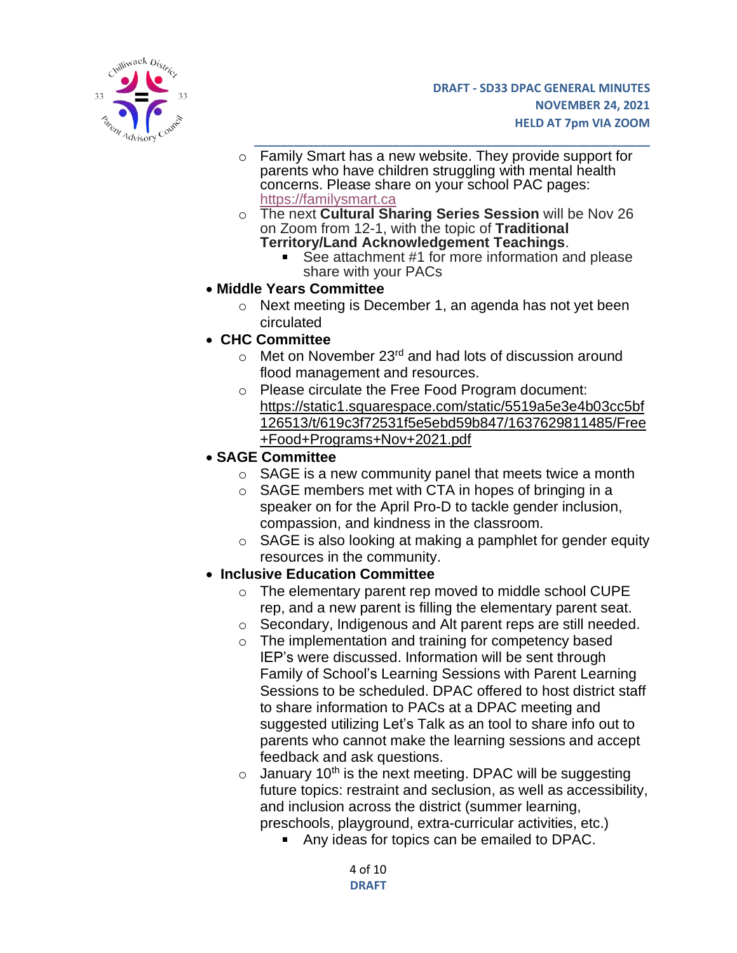

- **\_\_\_\_\_\_\_\_\_\_\_\_\_\_\_\_\_\_\_\_\_\_\_\_\_\_\_\_\_\_\_\_\_\_\_\_\_\_\_\_\_\_\_\_\_\_\_\_\_\_\_\_\_\_\_\_\_\_\_\_** o Family Smart has a new website. They provide support for parents who have children struggling with mental health concerns. Please share on your school PAC pages: [https://familysmart.ca](https://familysmart.ca/)
- o The next **Cultural Sharing Series Session** will be Nov 26 on Zoom from 12-1, with the topic of **Traditional Territory/Land Acknowledgement Teachings**.
	- See attachment #1 for more information and please share with your PACs
- **Middle Years Committee**
	- o Next meeting is December 1, an agenda has not yet been circulated
- **CHC Committee**
	- $\circ$  Met on November 23<sup>rd</sup> and had lots of discussion around flood management and resources.
	- o Please circulate the Free Food Program document: [https://static1.squarespace.com/static/5519a5e3e4b03cc5bf](https://static1.squarespace.com/static/5519a5e3e4b03cc5bf126513/t/619c3f72531f5e5ebd59b847/1637629811485/Free+Food+Programs+Nov+2021.pdf) [126513/t/619c3f72531f5e5ebd59b847/1637629811485/Free](https://static1.squarespace.com/static/5519a5e3e4b03cc5bf126513/t/619c3f72531f5e5ebd59b847/1637629811485/Free+Food+Programs+Nov+2021.pdf) [+Food+Programs+Nov+2021.pdf](https://static1.squarespace.com/static/5519a5e3e4b03cc5bf126513/t/619c3f72531f5e5ebd59b847/1637629811485/Free+Food+Programs+Nov+2021.pdf)
- **SAGE Committee**
	- $\circ$  SAGE is a new community panel that meets twice a month
	- $\circ$  SAGE members met with CTA in hopes of bringing in a speaker on for the April Pro-D to tackle gender inclusion, compassion, and kindness in the classroom.
	- $\circ$  SAGE is also looking at making a pamphlet for gender equity resources in the community.

### • **Inclusive Education Committee**

- o The elementary parent rep moved to middle school CUPE rep, and a new parent is filling the elementary parent seat.
- o Secondary, Indigenous and Alt parent reps are still needed.
- o The implementation and training for competency based IEP's were discussed. Information will be sent through Family of School's Learning Sessions with Parent Learning Sessions to be scheduled. DPAC offered to host district staff to share information to PACs at a DPAC meeting and suggested utilizing Let's Talk as an tool to share info out to parents who cannot make the learning sessions and accept feedback and ask questions.
- $\circ$  January 10<sup>th</sup> is the next meeting. DPAC will be suggesting future topics: restraint and seclusion, as well as accessibility, and inclusion across the district (summer learning, preschools, playground, extra-curricular activities, etc.)
	- Any ideas for topics can be emailed to DPAC.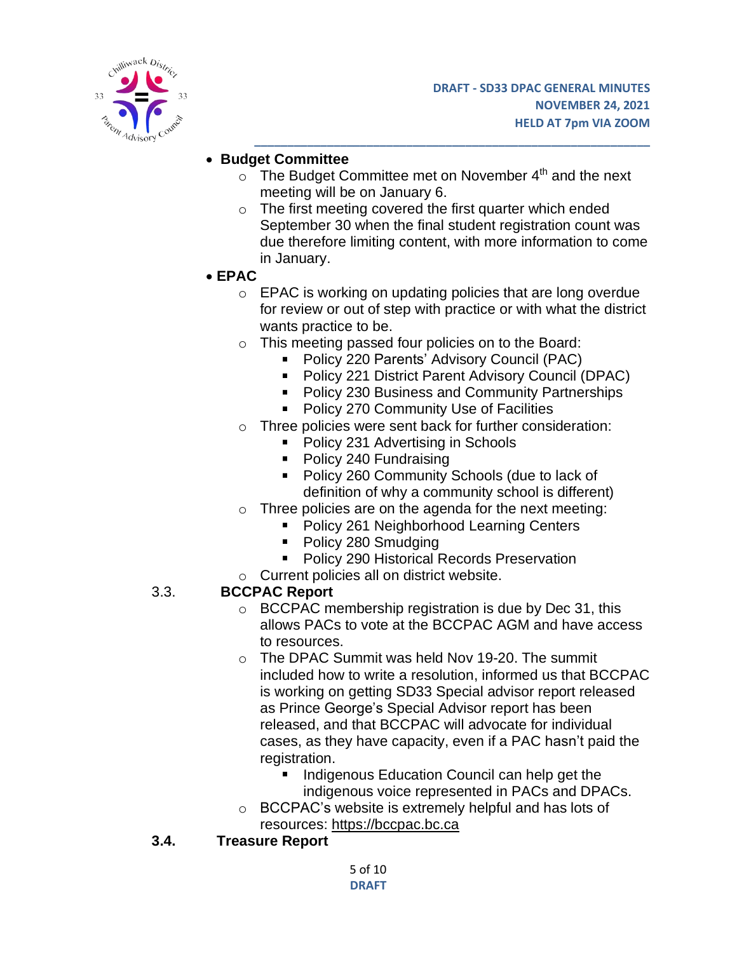

## • **Budget Committee**

 $\circ$  The Budget Committee met on November 4<sup>th</sup> and the next meeting will be on January 6.

**\_\_\_\_\_\_\_\_\_\_\_\_\_\_\_\_\_\_\_\_\_\_\_\_\_\_\_\_\_\_\_\_\_\_\_\_\_\_\_\_\_\_\_\_\_\_\_\_\_\_\_\_\_\_\_\_\_\_\_\_**

- o The first meeting covered the first quarter which ended September 30 when the final student registration count was due therefore limiting content, with more information to come in January.
- **EPAC**
	- o EPAC is working on updating policies that are long overdue for review or out of step with practice or with what the district wants practice to be.
	- o This meeting passed four policies on to the Board:
		- **Policy 220 Parents' Advisory Council (PAC)**
		- Policy 221 District Parent Advisory Council (DPAC)
		- **Policy 230 Business and Community Partnerships**
		- **Policy 270 Community Use of Facilities**
	- o Three policies were sent back for further consideration:
		- Policy 231 Advertising in Schools
		- Policy 240 Fundraising
		- **Policy 260 Community Schools (due to lack of** definition of why a community school is different)
	- $\circ$  Three policies are on the agenda for the next meeting:
		- **Policy 261 Neighborhood Learning Centers**
		- Policy 280 Smudging
		- **Policy 290 Historical Records Preservation**
	- o Current policies all on district website.

### 3.3. **BCCPAC Report**

- o BCCPAC membership registration is due by Dec 31, this allows PACs to vote at the BCCPAC AGM and have access to resources.
- $\circ$  The DPAC Summit was held Nov 19-20. The summit included how to write a resolution, informed us that BCCPAC is working on getting SD33 Special advisor report released as Prince George's Special Advisor report has been released, and that BCCPAC will advocate for individual cases, as they have capacity, even if a PAC hasn't paid the registration.
	- Indigenous Education Council can help get the indigenous voice represented in PACs and DPACs.
- o BCCPAC's website is extremely helpful and has lots of resources: [https://bccpac.bc.ca](https://bccpac.bc.ca/)
- **3.4. Treasure Report**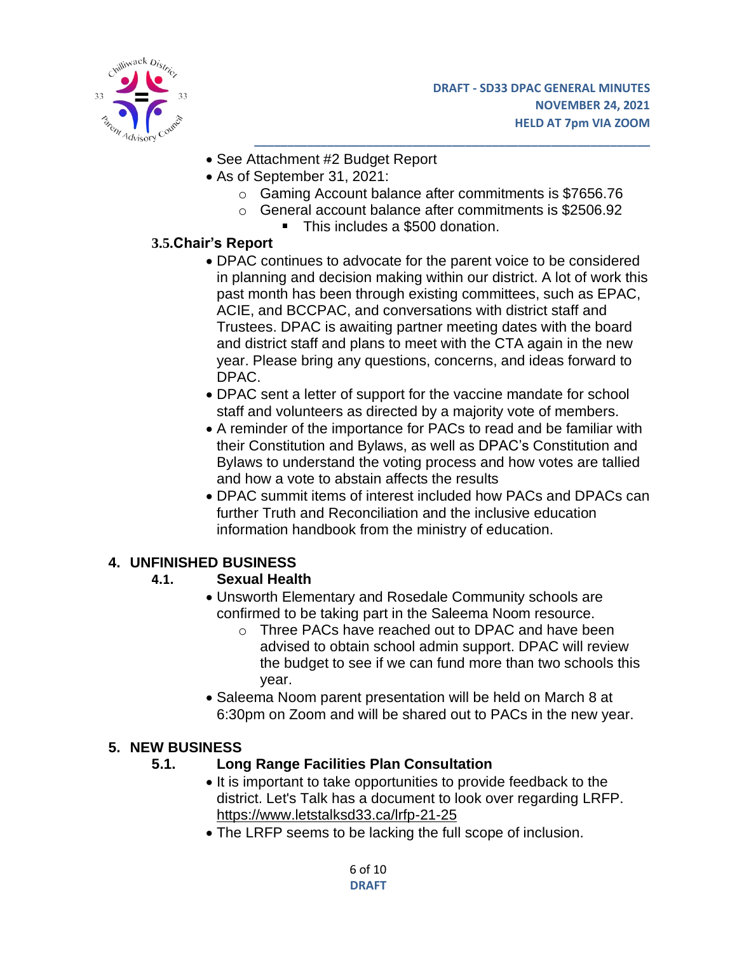

- See Attachment #2 Budget Report
- As of September 31, 2021:
	- o Gaming Account balance after commitments is \$7656.76

- o General account balance after commitments is \$2506.92
	- This includes a \$500 donation.

## **3.5.Chair's Report**

- DPAC continues to advocate for the parent voice to be considered in planning and decision making within our district. A lot of work this past month has been through existing committees, such as EPAC, ACIE, and BCCPAC, and conversations with district staff and Trustees. DPAC is awaiting partner meeting dates with the board and district staff and plans to meet with the CTA again in the new year. Please bring any questions, concerns, and ideas forward to DPAC.
- DPAC sent a letter of support for the vaccine mandate for school staff and volunteers as directed by a majority vote of members.
- A reminder of the importance for PACs to read and be familiar with their Constitution and Bylaws, as well as DPAC's Constitution and Bylaws to understand the voting process and how votes are tallied and how a vote to abstain affects the results
- DPAC summit items of interest included how PACs and DPACs can further Truth and Reconciliation and the inclusive education information handbook from the ministry of education.

# **4. UNFINISHED BUSINESS**

### **4.1. Sexual Health**

- Unsworth Elementary and Rosedale Community schools are confirmed to be taking part in the Saleema Noom resource.
	- o Three PACs have reached out to DPAC and have been advised to obtain school admin support. DPAC will review the budget to see if we can fund more than two schools this year.
- Saleema Noom parent presentation will be held on March 8 at 6:30pm on Zoom and will be shared out to PACs in the new year.

# **5. NEW BUSINESS**

# **5.1. Long Range Facilities Plan Consultation**

- It is important to take opportunities to provide feedback to the district. Let's Talk has a document to look over regarding LRFP. <https://www.letstalksd33.ca/lrfp-21-25>
- The LRFP seems to be lacking the full scope of inclusion.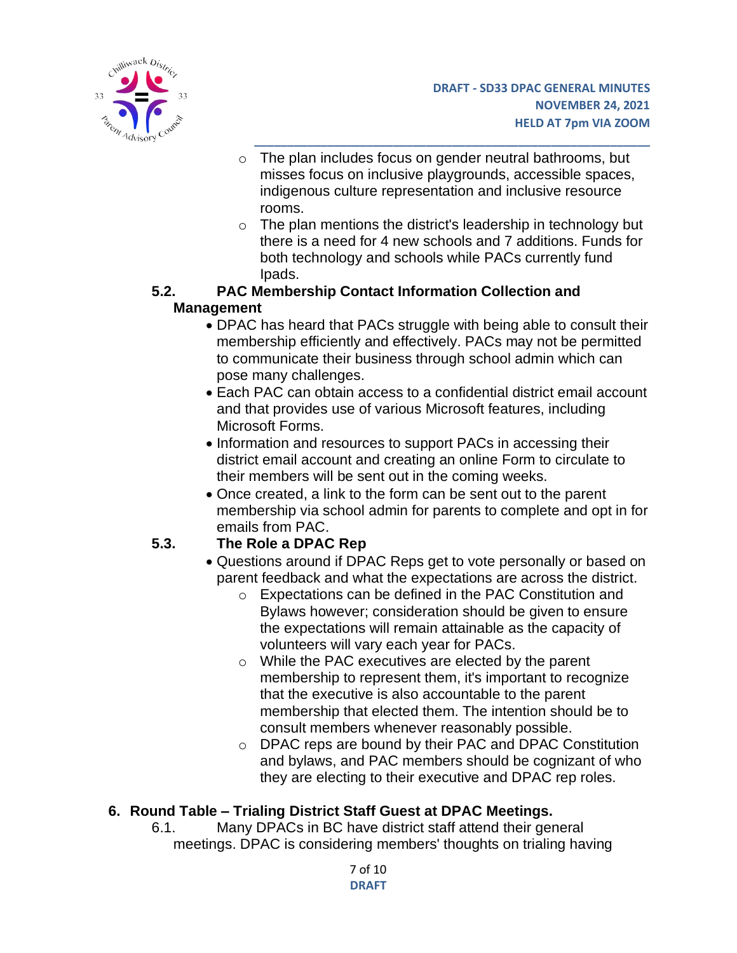

o The plan includes focus on gender neutral bathrooms, but misses focus on inclusive playgrounds, accessible spaces, indigenous culture representation and inclusive resource rooms.

**\_\_\_\_\_\_\_\_\_\_\_\_\_\_\_\_\_\_\_\_\_\_\_\_\_\_\_\_\_\_\_\_\_\_\_\_\_\_\_\_\_\_\_\_\_\_\_\_\_\_\_\_\_\_\_\_\_\_\_\_**

o The plan mentions the district's leadership in technology but there is a need for 4 new schools and 7 additions. Funds for both technology and schools while PACs currently fund Ipads.

### **5.2. PAC Membership Contact Information Collection and Management**

- DPAC has heard that PACs struggle with being able to consult their membership efficiently and effectively. PACs may not be permitted to communicate their business through school admin which can pose many challenges.
- Each PAC can obtain access to a confidential district email account and that provides use of various Microsoft features, including Microsoft Forms.
- Information and resources to support PACs in accessing their district email account and creating an online Form to circulate to their members will be sent out in the coming weeks.
- Once created, a link to the form can be sent out to the parent membership via school admin for parents to complete and opt in for emails from PAC.

# **5.3. The Role a DPAC Rep**

- Questions around if DPAC Reps get to vote personally or based on parent feedback and what the expectations are across the district.
	- o Expectations can be defined in the PAC Constitution and Bylaws however; consideration should be given to ensure the expectations will remain attainable as the capacity of volunteers will vary each year for PACs.
	- o While the PAC executives are elected by the parent membership to represent them, it's important to recognize that the executive is also accountable to the parent membership that elected them. The intention should be to consult members whenever reasonably possible.
	- o DPAC reps are bound by their PAC and DPAC Constitution and bylaws, and PAC members should be cognizant of who they are electing to their executive and DPAC rep roles.

# **6. Round Table – Trialing District Staff Guest at DPAC Meetings.**

6.1. Many DPACs in BC have district staff attend their general meetings. DPAC is considering members' thoughts on trialing having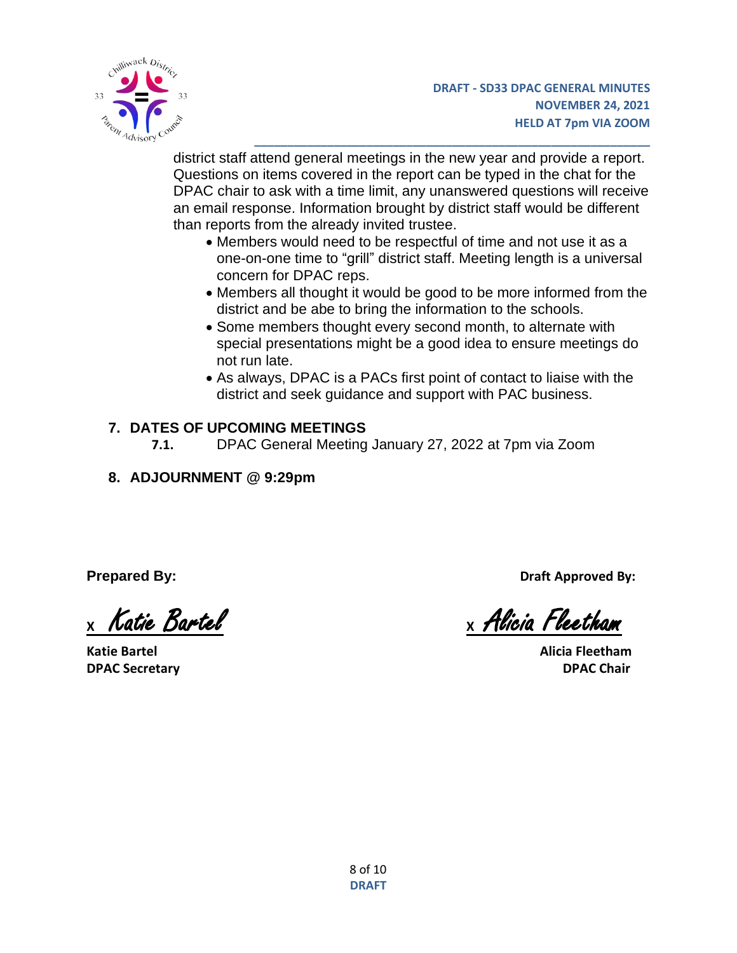

district staff attend general meetings in the new year and provide a report. Questions on items covered in the report can be typed in the chat for the DPAC chair to ask with a time limit, any unanswered questions will receive an email response. Information brought by district staff would be different than reports from the already invited trustee.

**\_\_\_\_\_\_\_\_\_\_\_\_\_\_\_\_\_\_\_\_\_\_\_\_\_\_\_\_\_\_\_\_\_\_\_\_\_\_\_\_\_\_\_\_\_\_\_\_\_\_\_\_\_\_\_\_\_\_\_\_**

- Members would need to be respectful of time and not use it as a one-on-one time to "grill" district staff. Meeting length is a universal concern for DPAC reps.
- Members all thought it would be good to be more informed from the district and be abe to bring the information to the schools.
- Some members thought every second month, to alternate with special presentations might be a good idea to ensure meetings do not run late.
- As always, DPAC is a PACs first point of contact to liaise with the district and seek guidance and support with PAC business.

# **7. DATES OF UPCOMING MEETINGS**

- **7.1.** DPAC General Meeting January 27, 2022 at 7pm via Zoom
- **8. ADJOURNMENT @ 9:29pm**

**Katie Bartel Alicia Fleetham DPAC Secretary DPAC Chair**

**Prepared By: Draft Approved By:**

**<sup>X</sup>** Katie Bartel **X** Alicia Fleetham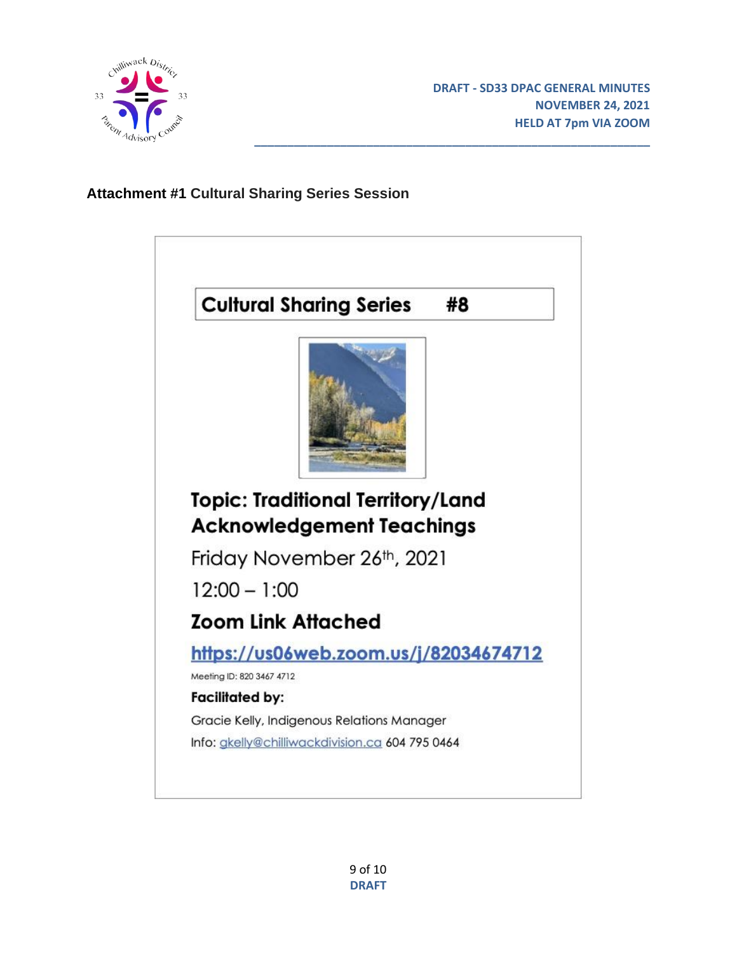

# **Attachment #1 Cultural Sharing Series Session**